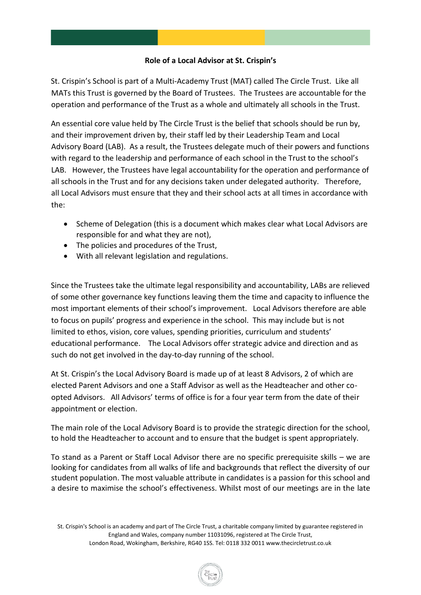### **Role of a Local Advisor at St. Crispin's**

St. Crispin's School is part of a Multi-Academy Trust (MAT) called The Circle Trust. Like all MATs this Trust is governed by the Board of Trustees. The Trustees are accountable for the operation and performance of the Trust as a whole and ultimately all schools in the Trust.

An essential core value held by The Circle Trust is the belief that schools should be run by, and their improvement driven by, their staff led by their Leadership Team and Local Advisory Board (LAB). As a result, the Trustees delegate much of their powers and functions with regard to the leadership and performance of each school in the Trust to the school's LAB. However, the Trustees have legal accountability for the operation and performance of all schools in the Trust and for any decisions taken under delegated authority. Therefore, all Local Advisors must ensure that they and their school acts at all times in accordance with the:

- Scheme of Delegation (this is a document which makes clear what Local Advisors are responsible for and what they are not),
- The policies and procedures of the Trust,
- With all relevant legislation and regulations.

Since the Trustees take the ultimate legal responsibility and accountability, LABs are relieved of some other governance key functions leaving them the time and capacity to influence the most important elements of their school's improvement. Local Advisors therefore are able to focus on pupils' progress and experience in the school. This may include but is not limited to ethos, vision, core values, spending priorities, curriculum and students' educational performance. The Local Advisors offer strategic advice and direction and as such do not get involved in the day-to-day running of the school.

At St. Crispin's the Local Advisory Board is made up of at least 8 Advisors, 2 of which are elected Parent Advisors and one a Staff Advisor as well as the Headteacher and other coopted Advisors. All Advisors' terms of office is for a four year term from the date of their appointment or election.

The main role of the Local Advisory Board is to provide the strategic direction for the school, to hold the Headteacher to account and to ensure that the budget is spent appropriately.

To stand as a Parent or Staff Local Advisor there are no specific prerequisite skills – we are looking for candidates from all walks of life and backgrounds that reflect the diversity of our student population. The most valuable attribute in candidates is a passion for this school and a desire to maximise the school's effectiveness. Whilst most of our meetings are in the late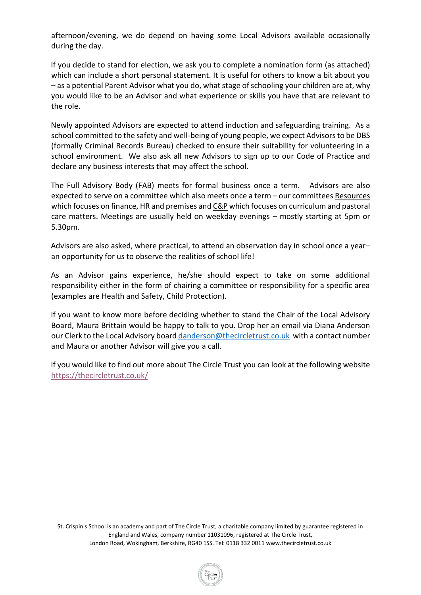afternoon/evening, we do depend on having some Local Advisors available occasionally during the day.

If you decide to stand for election, we ask you to complete a nomination form (as attached) which can include a short personal statement. It is useful for others to know a bit about you – as a potential Parent Advisor what you do, what stage of schooling your children are at, why you would like to be an Advisor and what experience or skills you have that are relevant to the role.

Newly appointed Advisors are expected to attend induction and safeguarding training. As a school committed to the safety and well-being of young people, we expect Advisors to be DBS (formally Criminal Records Bureau) checked to ensure their suitability for volunteering in a school environment. We also ask all new Advisors to sign up to our Code of Practice and declare any business interests that may affect the school.

The Full Advisory Body (FAB) meets for formal business once a term. Advisors are also expected to serve on a committee which also meets once a term – our committees Resources which focuses on finance, HR and premises and C&P which focuses on curriculum and pastoral care matters. Meetings are usually held on weekday evenings – mostly starting at 5pm or 5.30pm.

Advisors are also asked, where practical, to attend an observation day in school once a year– an opportunity for us to observe the realities of school life!

As an Advisor gains experience, he/she should expect to take on some additional responsibility either in the form of chairing a committee or responsibility for a specific area (examples are Health and Safety, Child Protection).

If you want to know more before deciding whether to stand the Chair of the Local Advisory Board, Maura Brittain would be happy to talk to you. Drop her an email via Diana Anderson our Clerk to the Local Advisory board [danderson@thecircletrust.co.uk](mailto:danderson@thecircletrust.co.uk) with a contact number and Maura or another Advisor will give you a call.

If you would like to find out more about The Circle Trust you can look at the following website <https://thecircletrust.co.uk/>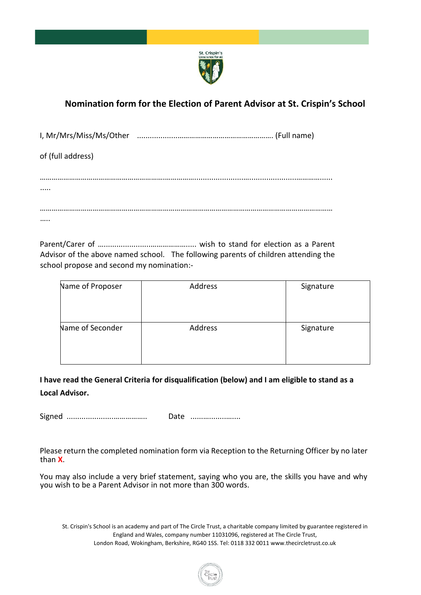

# **Nomination form for the Election of Parent Advisor at St. Crispin's School**

I, Mr/Mrs/Miss/Ms/Other ...................…………………………………………. (Full name)

of (full address)

Parent/Carer of …......................………………..... wish to stand for election as a Parent Advisor of the above named school. The following parents of children attending the school propose and second my nomination:-

| Name of Proposer | Address | Signature |
|------------------|---------|-----------|
| Name of Seconder | Address | Signature |

**I have read the General Criteria for disqualification (below) and I am eligible to stand as a Local Advisor.**

Signed ......................…………….. Date ......…........…....

Please return the completed nomination form via Reception to the Returning Officer by no later than **X**.

You may also include a very brief statement, saying who you are, the skills you have and why you wish to be a Parent Advisor in not more than 300 words.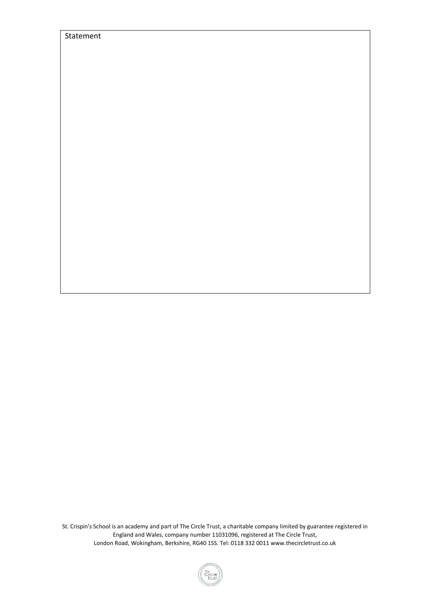| St. Crispin's School is an academy and part of The Circle Trust, a charitable company limited by guarantee registered in |
|--------------------------------------------------------------------------------------------------------------------------|
| England and Wales, company number 11031096, registered at The Circle Trust,                                              |
| London Road, Wokingham, Berkshire, RG40 1SS. Tel: 0118 332 0011 www.thecircletrust.co.uk                                 |

Statement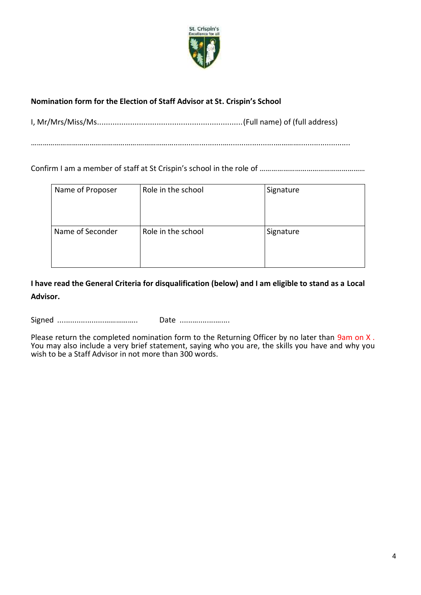

## **Nomination form for the Election of Staff Advisor at St. Crispin's School**

I, Mr/Mrs/Miss/Ms..................................................................(Full name) of (full address)

………………………………………………….…………….......................…......................…………........................

Confirm I am a member of staff at St Crispin's school in the role of ………………………………………………

| Name of Proposer | Role in the school | Signature |
|------------------|--------------------|-----------|
| Name of Seconder | Role in the school | Signature |

**I have read the General Criteria for disqualification (below) and I am eligible to stand as a Local Advisor.**

Signed ......................…………….. Date ......…........…....

Please return the completed nomination form to the Returning Officer by no later than 9am on X. You may also include a very brief statement, saying who you are, the skills you have and why you wish to be a Staff Advisor in not more than 300 words.